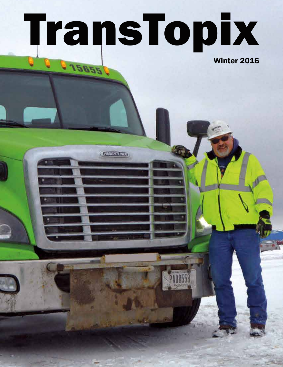# TransTopix

Jeeber J

**FREIGHTLINER** 

Winter 2016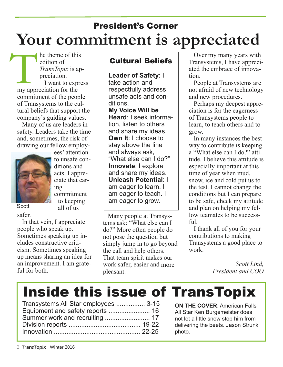### **Your commitment is appreciated** President's Corner

he theme of this edition of *TransTopix* is appreciation. I want to express my appreciation for the commitment of the people of Transystems to the cultural beliefs that support the company's guiding values. T

Many of us are leaders in safety. Leaders take the time and, sometimes, the risk of drawing our fellow employ-



ees' attention to unsafe conditions and acts. I appreciate that caring commitment to keeping all of us

safer.

In that vein, I appreciate people who speak up. Sometimes speaking up includes constructive criticism. Sometimes speaking up means sharing an idea for an improvement. I am grateful for both.

### Cultural Beliefs

**Leader of Safety**: I take action and respectfully address unsafe acts and conditions.

**My Voice Will be Heard**: I seek information, listen to others and share my ideas. **Own It**: I choose to stay above the line and always ask, "What else can I do?" **Innovate**: I explore and share my ideas. **Unleash Potential**: I am eager to learn. I am eager to teach. I  $\blacksquare$  to keeping am eager to grow.<br>Scott all of us

> Many people at Transystems ask: "What else can I do?" More often people do not pose the question but simply jump in to go beyond the call and help others. That team spirit makes our work safer, easier and more pleasant.

Over my many years with Transystems, I have appreciated the embrace of innovation.

People at Transystems are not afraid of new technology and new procedures.

Perhaps my deepest appreciation is for the eagerness of Transystems people to learn, to teach others and to grow.

In many instances the best way to contribute is keeping a "What else can I do?" attitude. I believe this attitude is especially important at this time of year when mud, snow, ice and cold put us to the test. I cannot change the conditions but I can prepare to be safe, check my attitude and plan on helping my fellow teamates to be successful.

I thank all of you for your contributions to making Transystems a good place to work.

> *Scott Lind, President and COO*

### Inside this issue of TransTopix

| Transystems All Star employees  3-15 |  |
|--------------------------------------|--|
| Equipment and safety reports  16     |  |
|                                      |  |
|                                      |  |
|                                      |  |

**ON THE COVER**: American Falls All Star Ken Burgemeister does not let a little snow stop him from delivering the beets. Jason Strunk photo.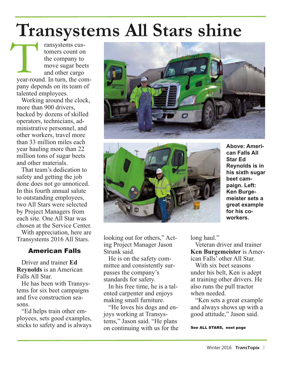# **Transystems All Stars shine**

ransystems customers count on the company to move sugar beets and other cargo year-round. In turn, the company depends on its team of talented employees. T

Working around the clock, more than 900 drivers, backed by dozens of skilled operators, technicians, administrative personnel, and other workers, travel more than 33 million miles each year hauling more than 22 million tons of sugar beets and other materials.

That team's dedication to safety and getting the job done does not go unnoticed. In this fourth annual salute to outstanding employees, two All Stars were selected by Project Managers from each site. One All Star was chosen at the Service Center.

With appreciation, here are Transystems 2016 All Stars.

### American Falls

Driver and trainer **Ed Reynolds** is an American Falls All Star.

He has been with Transystems for six beet campaigns and five construction seasons.

"Ed helps train other employees, sets good examples, sticks to safety and is always





looking out for others," Acting Project Manager Jason Strunk said.

He is on the safety committee and consistently surpasses the company's standards for safety.

In his free time, he is a talented carpenter and enjoys making small furniture.

"He loves his dogs and enjoys working at Transystems," Jason said. "He plans on continuing with us for the long haul."

Veteran driver and trainer **Ken Burgemeister** is American Falls' other All Star.

**Above: American Falls All Star Ed** 

**Reynolds is in his sixth sugar beet campaign. Left: Ken Burgemeister sets a great example for his coworkers.**

With six beet seasons under his belt, Ken is adept at training other drivers. He also runs the pull tractor when needed.

"Ken sets a great example and always shows up with a good attitude," Jason said.

See ALL STARS, next page

Winter 2016 TransTopix 3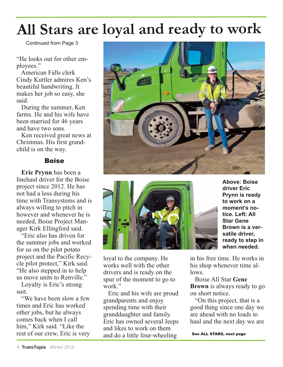# **All Stars are loyal and ready to work**

Continued from Page 3

"He looks out for other employees."

American Falls clerk Cindy Kuttler admires Ken's beautiful handwriting. It makes her job so easy, she said.

During the summer, Ken farms. He and his wife have been married for 46 years and have two sons.

Ken received great news at Christmas. His first grandchild is on the way.

### Boise

**Eric Prynn** has been a linehaul driver for the Boise project since 2012. He has not had a loss during his time with Transystems and is always willing to pitch in however and whenever he is needed, Boise Project Manager Kirk Ellingford said.

"Eric also has driven for the summer jobs and worked for us on the pilot potato project and the Pacific Recycle pilot protect," Kirk said. "He also stepped in to help us move units to Renville."

Loyalty is Eric's strong suit.

"We have been slow a few times and Eric has worked other jobs, but he always comes back when I call him," Kirk said. "Like the rest of our crew, Eric is very





loyal to the company. He works well with the other drivers and is ready on the spur of the moment to go to work."

Eric and his wife are proud grandparents and enjoy spending time with their granddaughter and family. Eric has owned several Jeeps and likes to work on them and do a little four-wheeling

**Above: Boise driver Eric Prynn is ready to work on a moment's notice. Left: All Star Gene Brown is a versatile driver, ready to step in when needed.**

in his free time. He works in his shop whenever time allows.

Boise All Star **Gene Brown** is always ready to go on short notice.

"On this project, that is a good thing since one day we are ahead with no loads to haul and the next day we are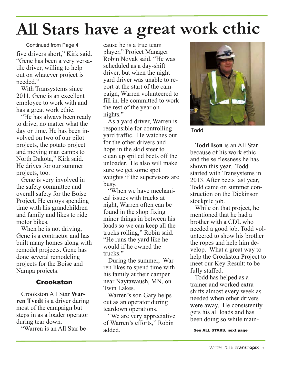# **All Stars have <sup>a</sup> great work ethic**

#### Continued from Page 4

five drivers short," Kirk said. "Gene has been a very versatile driver, willing to help out on whatever project is needed."

With Transystems since 2011, Gene is an excellent employee to work with and has a great work ethic.

"He has always been ready to drive, no matter what the day or time. He has been involved on two of our pilot projects, the potato project and moving man camps to North Dakota," Kirk said. He drives for our summer projects, too.

Gene is very involved in the safety committee and overall safety for the Boise Project. He enjoys spending time with his grandchildren and family and likes to ride motor bikes.

When he is not driving, Gene is a contractor and has built many homes along with remodel projects. Gene has done several remodeling projects for the Boise and Nampa projects.

### Crookston

Crookston All Star **Warren Tvedt** is a driver during most of the campaign but steps in as a loader operator during tear down.

"Warren is an All Star be-

cause he is a true team player," Project Manager Robin Novak said. "He was scheduled as a day-shift driver, but when the night yard driver was unable to report at the start of the campaign, Warren volunteered to fill in. He committed to work the rest of the year on nights."

As a yard driver, Warren is responsible for controlling yard traffic. He watches out for the other drivers and hops in the skid steer to clean up spilled beets off the unloader. He also will make sure we get some spot weights if the supervisors are busy.

"When we have mechanical issues with trucks at night, Warren often can be found in the shop fixing minor things in between his loads so we can keep all the trucks rolling," Robin said. "He runs the yard like he would if he owned the trucks"

During the summer, Warren likes to spend time with his family at their camper near Naytawaush, MN, on Twin Lakes.

Warren's son Gary helps out as an operator during teardown operations.

"We are very appreciative of Warren's efforts," Robin added.



Todd

**Todd Ison** is an All Star because of his work ethic and the selflessness he has shown this year. Todd started with Transystems in 2013. After beets last year, Todd came on summer construction on the Dickinson stockpile job.

While on that project, he mentioned that he had a brother with a CDL who needed a good job. Todd volunteered to show his brother the ropes and help him develop. What a great way to help the Crookston Project to meet our Key Result: to be fully staffed.

Todd has helped as a trainer and worked extra shifts almost every week as needed when other drivers were away. He consistently gets his all loads and has been doing so while main-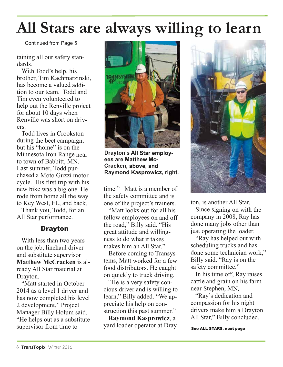# **All Stars are always willing to learn**

Continued from Page 5

taining all our safety standards.

With Todd's help, his brother, Tim Kachmarzinski, has become <sup>a</sup> valued addition to our team. Todd and Tim even volunteered to help out the Renville project for about 10 days when Renville was short on drivers.

Todd lives in Crookston during the beet campaign, but his "home" is on the Minnesota Iron Range near to town of Babbitt, MN. Last summer, Todd purchased <sup>a</sup> Moto Guzzi motorcycle. His first trip with his new bike was <sup>a</sup> big one. He rode from home all the way to Key West, FL, and back.

Thank you, Todd, for an All Star performance.

### Drayton

With less than two years on the job, linehaul driver and substitute supervisor **Matthew McCracken** is already All Star material at Drayton.

"Matt started in October 2014 as <sup>a</sup> level 1 driver and has now completed his level 2 development," Project Manager Billy Holum said. "He helps out as <sup>a</sup> substitute supervisor from time to



**Drayton's All Star employees are Matthew Mc-Cracken, above, and Raymond Kasprowicz, right.**

time." Matt is <sup>a</sup> member of the safety committee and is one of the project's trainers.

"Matt looks out for all his fellow employees on and off the road," Billy said. "His grea<sup>t</sup> attitude and willingness to do what it takes makes him an All Star."

Before coming to Transystems, Matt worked for <sup>a</sup> few food distributors. He caught on quickly to truck driving.

"He is <sup>a</sup> very safety concious driver and is willing to learn," Billy added. "We appreciate his help on construction this pas<sup>t</sup> summer."

**Raymond Kasprowicz**, <sup>a</sup> yard loader operator at Dray-



ton, is another All Star.

Since signing on with the company in 2008, Ray has done many jobs other than just operating the loader.

"Ray has helped out with scheduling trucks and has done some technician work," Billy said. "Ray is on the safety committee."

In his time off, Ray raises cattle and grain on his farm near Stephen, MN.

"Ray's dedication and compassion for his night drivers make him <sup>a</sup> Drayton All Star," Billy concluded.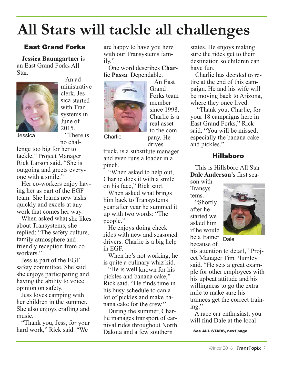# **All Stars will tackle all challenges**

### East Grand Forks

**Jessica Baumgartne**<sup>r</sup> is an East Grand Forks All Star.



An administrative clerk, Jessica started with Transystems in June of 2015.

no chal-

"There is Jessica Charlie

lenge too big for her to tackle," Project Manager Rick Larson said. "She is outgoing and greets everyone with <sup>a</sup> smile."

Her co-workers enjoy having her as par<sup>t</sup> of the EGF team. She learns new tasks quickly and excels at any work that comes her way.

When asked what she likes about Transystems, she replied: "The safety culture, family atmosphere and friendly reception from coworkers"

Jess is par<sup>t</sup> of the EGF safety committee. She said she enjoys participating and having the ability to voice opinion on safety.

Jess loves camping with her children in the summer. She also enjoys crafting and music.

"Thank you, Jess, for your hard work," Rick said. "We

are happy to have you here with our Transystems family."

One word describes **Charlie Passa**: Dependable.



An East Grand Forks team member since 1998, Charlie is <sup>a</sup> real asset to the company. He

drives truck, is <sup>a</sup> substitute manager and even runs <sup>a</sup> loader in <sup>a</sup> pinch.

"When asked to help out, Charlie does it with <sup>a</sup> smile on his face," Rick said.

When asked what brings him back to Transystems year after year he summed it up with two words: "The people."

He enjoys doing check rides with new and seasoned drivers. Charlie is <sup>a</sup> big help in EGF.

When he's not working, he is quite <sup>a</sup> culinary whiz kid.

"He is well known for his pickles and banana cake," Rick said. "He finds time in his busy schedule to can <sup>a</sup> lot of pickles and make banana cake for the crew."

During the summer, Charlie manages transport of carnival rides throughout North Dakota and <sup>a</sup> few southern

states. He enjoys making sure the rides ge<sup>t</sup> to their destination so children can have fun.

Charlie has decided to retire at the end of this campaign. He and his wife will be moving back to Arizona, where they once lived.

"Thank you, Charlie, for your 18 campaigns here in East Grand Forks," Rick said. "You will be missed, especially the banana cake and pickles."

#### Hillsboro

This is Hillsboro All Star **Dale Anderson**'s first season with

Transystems.

"Shortly after he started we asked him if he would be <sup>a</sup> trainer because of



Dale

his attention to detail," Project Manager Tim Plumley said. "He sets <sup>a</sup> grea<sup>t</sup> example for other employees with his upbeat attitude and his willingness to go the extra mile to make sure his trainees ge<sup>t</sup> the correct training."

A race car enthusiast, you will find Dale at the local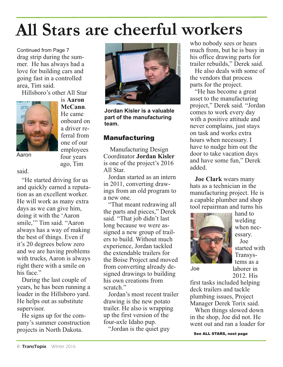# **All Stars are cheerful workers**

Continued from Page 7 drag strip during the summer. He has always had a love for building cars and going fast in a controlled area, Tim said.

Hillsboro's other All Star



Aaron

is **Aaron McCann**. He came onboard on a driver referral from one of our employees four years ago, Tim

said.

"He started driving for us and quickly earned a reputation as an excellent worker. He will work as many extra days as we can give him, doing it with the 'Aaron smile," Tim said. "Aaron always has a way of making the best of things. Even if it's 20 degrees below zero and we are having problems with trucks, Aaron is always right there with a smile on his face."

During the last couple of years, he has been running a loader in the Hillsboro yard. He helps out as substitute supervisor.

He signs up for the company's summer construction projects in North Dakota.



**Jordan Kisler is a valuable part of the manufacturing team.**

### Manufacturing

Manufacturing Design Coordinator **Jordan Kisler**  is one of the project's 2016 All Star.

Jordan started as an intern in 2011, converting drawings from an old program to a new one.

"That meant redrawing all the parts and pieces," Derek said. "That job didn't last long because we were assigned a new group of trailers to build. Without much experience, Jordan tackled the extendable trailers for the Boise Project and moved from converting already designed drawings to building his own creations from scratch"

Jordan's most recent trailer drawing is the new potato trailer. He also is wrapping up the first version of the four-axle Idaho pup.

"Jordan is the quiet guy

who nobody sees or hears much from, but he is busy in his office drawing parts for trailer rebuilds," Derek said.

He also deals with some of the vendors that process parts for the project.

"He has become a great asset to the manufacturing project," Derek said. "Jordan comes to work every day with a positive attitude and never complains, just stays on task and works extra hours when necessary. I have to nudge him out the door to take vacation days and have some fun," Derek added.

**Joe Clark** wears many hats as a technician in the manufacturing project. He is a capable plumber and shop tool repairman and turns his



hand to welding when necessary. Joe started with Transystems as a laborer in 2012. His

Joe

first tasks included helping deck trailers and tackle plumbing issues, Project Manager Derek Torix said.

When things slowed down in the shop, Joe did not. He went out and ran a loader for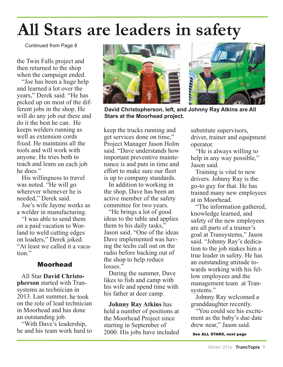# **All Stars are leaders in safety**

Continued from Page 8

the Twin Falls project and then returned to the shop when the campaign ended.

"Joe has been a huge help and learned a lot over the years," Derek said. "He has picked up on most of the different jobs in the shop. He will do any job out there and do it the best he can. He keeps welders running as well as extension cords fixed. He maintains all the tools and will work with anyone. He tries both to teach and learn on each job he does."

His willingness to travel was noted. "He will go wherever whenever he is needed," Derek said.

Joe's wife Jayme works as a welder in manufacturing.

"I was able to send them on a paid vacation to Worland to weld cutting edges on loaders," Derek joked. "At least we called it a vacation."

#### Moorhead

All Star **David Christopherson** started with Transystems as technician in 2013. Last summer, he took on the role of lead technician in Moorhead and has done an outstanding job.

"With Dave's leadership, he and his team work hard to



**David Christopherson, left, and Johnny Ray Atkins are All Stars at the Moorhead project.**

keep the trucks running and get services done on time," Project Manager Jason Holm said. "Dave understands how important preventive maintenance is and puts in time and effort to make sure our fleet is up to company standards.

In addition to working in the shop, Dave has been an active member of the safety committee for two years.

"He brings a lot of good ideas to the table and applies them to his daily tasks," Jason said. "One of the ideas Dave implemented was having the techs call out on the radio before backing out of the shop to help reduce losses."

During the summer, Dave likes to fish and camp with his wife and spend time with his father at deer camp.

**Johnny Ray Atkins** has held a number of positions at the Moorhead Project since starting in September of 2000. His jobs have included

substitute supervisors, driver, trainer and equipment operator.

"He is always willing to help in any way possible," Jason said.

Training is vital to new drivers. Johnny Ray is the go-to guy for that. He has trained many new employees at in Moorhead.

"The information gathered, knowledge learned, and safety of the new employees are all parts of a trainer's goal at Transystems," Jason said. "Johnny Ray's dedication to the job makes him a true leader in safety. He has an outstanding attitude towards working with his fellow employees and the management team at Transystems."

Johnny Ray welcomed a granddaughter recently.

"You could see his excitement as the baby's due date drew near," Jason said.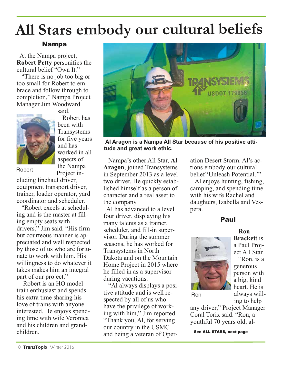## **All Stars embody our cultural beliefs**

#### Nampa

At the Nampa project, **Robert Petty** personifies the cultural belief "Own It."

"There is no job too big or too small for Robert to embrace and follow through to completion," Nampa Project Manager Jim Woodward



said.

Robert has been with Transystems for five years and has worked in all aspects of the Nampa Project in-

Robert

cluding linehaul driver, equipment transport driver, trainer, loader operator, yard coordinator and scheduler.

"Robert excels at scheduling and is the master at filling empty seats with drivers," Jim said. "His firm but courteous manner is appreciated and well respected by those of us who are fortunate to work with him. His willingness to do whatever it takes makes him an integral part of our project."

Robert is an HO model train enthusiast and spends his extra time sharing his love of trains with anyone interested. He enjoys spending time with wife Veronica and his children and grandchildren.



**Al Aragon is a Nampa All Star because of his positive attitude and great work ethic.**

Nampa's other All Star, **Al Aragon**, joined Transystems in September 2013 as a level two driver. He quickly established himself as a person of character and a real asset to the company.

Al has advanced to a level four driver, displaying his many talents as a trainer, scheduler, and fill-in supervisor. During the summer seasons, he has worked for Transystems in North Dakota and on the Mountain Home Project in 2015 where he filled in as a supervisor during vacations.

"Al always displays a positive attitude and is well respected by all of us who have the privilege of working with him," Jim reported. "Thank you, Al, for serving our country in the USMC and being a veteran of Operation Desert Storm. Al's actions embody our cultural belief 'Unleash Potential.'"

Al enjoys hunting, fishing, camping, and spending time with his wife Rachel and daughters, Izabella and Vespera.

#### Paul



**Ron Bracket**t is a Paul Project All Star. "Ron, is a generous person with a big, kind heart. He is always willing to help

Ron

any driver," Project Manager Coral Torix said. "Ron, a youthful 70 years old, al-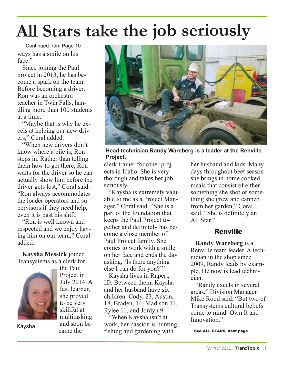# **All Stars take the job seriously**

Continued from Page 10 ways has a smile on his face."

Since joining the Paul project in 2013, he has become a spark on the team. Before becoming a driver, Ron was an orchestra teacher in Twin Falls, handling more than 100 students at a time.

"Maybe that is why he excels at helping our new drivers," Coral added.

"When new drivers don't know where a pile is, Ron steps in. Rather than telling them how to get there, Ron waits for the driver so he can actually show him before the driver gets lost," Coral said. "Ron always accommodates the loader operators and supervisors if they need help, even it is past his shift.

"Ron is well known and respected and we enjoy having him on our team," Coral added.

**Kaysha Messick** joined Transystems as a clerk for



the Paul Project in July 2014. A fast learner, she proved to be very skillful at multitasking and soon became the

Kaysha



**Head technician Randy Wareberg is a leader at the Renville Project.**

clerk trainer for other projects in Idaho. She is very thorough and takes her job seriously.

"Kaysha is extremely valuable to me as a Project Manager," Coral said. "She is a part of the foundation that keeps the Paul Project together and definitely has become a close member of Paul Project family. She comes to work with a smile on her face and ends the day asking, 'Is there anything else I can do for you?'"

Kaysha lives in Rupert, ID. Between them, Kaysha and her husband have six children: Cody, 23, Austin, 18, Braden, 14, Madison 11, Rylee 11, and Jordyn 9.

"When Kaysha isn't at work, her passion is hunting, fishing and gardening with

her husband and kids. Many days throughout beet season she brings in home cooked meals that consist of either something she shot or something she grew and canned from her garden," Coral said. "She is definitely an All Star."

### Renville

**Randy Wareberg** is a Renville team leader. A technician in the shop since 2009, Randy leads by example. He now is lead technician.

"Randy excels in several areas," Division Manager Mike Rood said. "But two of Transystems cultural beliefs come to mind: Own It and Innovation."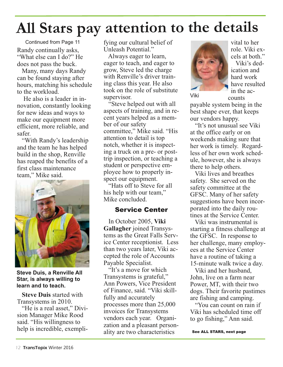# **All Stars pay attention to the details**

Continued from Page 11 Randy continually asks, "What else can I do?" He does not pass the buck.

Many, many days Randy can be found staying after hours, matching his schedule to the workload.

He also is a leader in innovation, constantly looking for new ideas and ways to make our equipment more efficient, more reliable, and safer.

"With Randy's leadership and the team he has helped build in the shop, Renville has reaped the benefits of a first class maintenance team," Mike said.



**Steve Duis, a Renville All Star, is always willing to learn and to teach.**

**Steve Duis** started with Transystems in 2010.

"He is a real asset," Division Manager Mike Rood said. "His willingness to help is incredible, exemplifying our cultural belief of Unleash Potential."

Always eager to learn, eager to teach, and eager to grow, Steve led the charge with Renville's driver training class this year. He also took on the role of substitute supervisor.

"Steve helped out with all aspects of training, and in recent years helped as a member of our safety committee," Mike said. "His attention to detail is top notch, whether it is inspecting a truck on a pre- or posttrip inspection, or teaching a student or perspective employee how to properly inspect our equipment. "Hats off to Steve for all

his help with our team." Mike concluded.

#### Service Center

In October 2005, **Viki Gallagher** joined Transystems as the Great Falls Service Center receptionist. Less than two years later, Viki accepted the role of Accounts Payable Specialist.

"It's a move for which Transystems is grateful," Ann Powers, Vice President of Finance, said. "Viki skillfully and accurately processes more than 25,000 invoices for Transystems vendors each year. Organization and a pleasant personality are two characteristics



vital to her role. Viki excels at both."

Viki's dedication and hard work have resulted in the ac-

Viki

counts payable system being in the best shape ever, that keeps our vendors happy.

"It's not unusual see Viki at the office early or on weekends making sure that her work is timely. Regardless of her own work schedule, however, she is always there to help others.

Viki lives and breathes safety. She served on the safety committee at the GFSC. Many of her safety suggestions have been incorporated into the daily routines at the Service Center.

Viki was instrumental is starting a fitness challenge at the GFSC. In response to her challenge, many employees at the Service Center have a routine of taking a 15-minute walk twice a day.

Viki and her husband, John, live on a farm near Power, MT, with their two dogs. Their favorite pastimes are fishing and camping.

"You can count on rain if Viki has scheduled time off to go fishing," Ann said.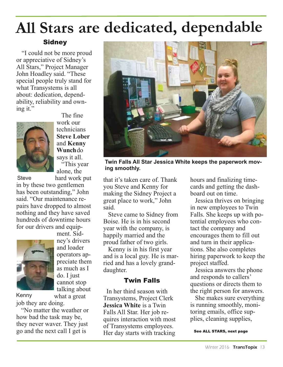# **All Stars are dedicated, dependable**

### **Sidney**

"I could not be more proud or appreciative of Sidney's All Stars," Project Manager John Hoadley said. "These special people truly stand for what Transystems is all about: dedication, dependability, reliability and owning it."



The fine work our technicians **Steve Lober** and **Kenny Wunch**do says it all. "This year alone, the

**Steve** 

hard work put in by these two gentlemen has been outstanding," John said. "Our maintenance repairs have dropped to almost nothing and they have saved hundreds of downtime hours for our drivers and equip-



ment. Sidney's drivers and loader operators appreciate them as much as I do. I just cannot stop talking about what a great

job they are doing. Kenny

"No matter the weather or how bad the task may be, they never waver. They just go and the next call I get is



**Twin Falls All Star Jessica White keeps the paperwork moving smoothly.**

that it's taken care of. Thank you Steve and Kenny for making the Sidney Project a great place to work," John said.

Steve came to Sidney from Boise. He is in his second year with the company, is happily married and the proud father of two girls.

Kenny is in his first year and is a local guy. He is married and has a lovely granddaughter.

### Twin Falls

In her third season with Transystems, Project Clerk **Jessica White** is a Twin Falls All Star. Her job requires interaction with most of Transystems employees. Her day starts with tracking

hours and finalizing timecards and getting the dashboard out on time.

Jessica thrives on bringing in new employees to Twin Falls. She keeps up with potential employees who contact the company and encourages them to fill out and turn in their applications. She also completes hiring paperwork to keep the project staffed.

Jessica answers the phone and responds to callers' questions or directs them to the right person for answers.

She makes sure everything is running smoothly, monitoring emails, office supplies, cleaning supplies,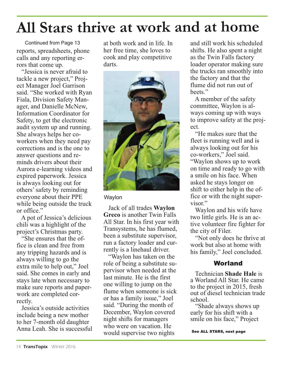## **All Stars thrive at work and at home**

Continued from Page 13 reports, spreadsheets, phone calls and any reporting errors that come up.

"Jessica is never afraid to tackle a new project," Project Manager Joel Garrison said. "She worked with Ryan Fiala, Division Safety Manager, and Danielle McNew, Information Coordinator for Safety, to get the electronic audit system up and running. She always helps her coworkers when they need pay corrections and is the one to answer questions and reminds drivers about their Aurora e-learning videos and expired paperwork. Jessica is always looking out for others'safety by reminding everyone about their PPE while being outside the truck or office."

A pot of Jessica's delicious chili was a highlight of the project's Christmas party.

"She ensures that the office is clean and free from any tripping hazards and is always willing to go the extra mile to help out," Joel said. She comes in early and stays late when necessary to make sure reports and paperwork are completed correctly.

Jessica's outside activities include being a new mother to her 7-month old daughter Anna Leah. She is successful at both work and in life. In her free time, she loves to cook and play competitive darts.



#### Waylon

Jack of all trades **Waylon Greco** is another Twin Falls All Star. In his first year with Transystems, he has flumed, been a substitute supervisor, run a factory loader and currently is a linehaul driver.

"Waylon has taken on the role of being a substitute supervisor when needed at the last minute. He is the first one willing to jump on the flume when someone is sick or has a family issue," Joel said. "During the month of December, Waylon covered night shifts for managers who were on vacation. He would supervise two nights

and still work his scheduled shifts. He also spent a night as the Twin Falls factory loader operator making sure the trucks ran smoothly into the factory and that the flume did not run out of heets"

A member of the safety committee, Waylon is always coming up with ways to improve safety at the project.

"He makes sure that the fleet is running well and is always looking out for his co-workers," Joel said. "Waylon shows up to work on time and ready to go with a smile on his face. When asked he stays longer on shift to either help in the office or with the night supervisor."

Waylon and his wife have two little girls. He is an active volunteer fire fighter for the city of Filer.

"Not only does he thrive at work but also at home with his family," Joel concluded.

#### Worland

Technician **Shade Hale** is a Worland All Star. He came to the project in 2015, fresh out of diesel technician trade

school. "Shade always shows up early for his shift with a smile on his face," Project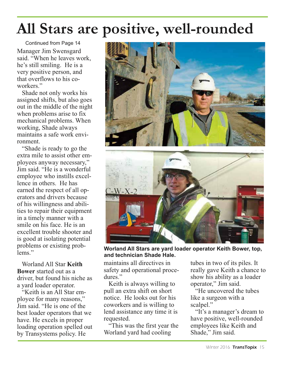# **All Stars are positive, well-rounded**

Continued from Page 14 Manager Jim Swensgard said. "When he leaves work, he's still smiling. He is a very positive person, and that overflows to his coworkers."

Shade not only works his assigned shifts, but also goes out in the middle of the night when problems arise to fix mechanical problems. When working, Shade always maintains a safe work environment.

"Shade is ready to go the extra mile to assist other employees anyway necessary," Jim said. "He is a wonderful employee who instills excellence in others. He has earned the respect of all operators and drivers because of his willingness and abilities to repair their equipment in a timely manner with a smile on his face. He is an excellent trouble shooter and is good at isolating potential problems or existing problems."

Worland All Star **Keith Bower** started out as a driver, but found his niche as a yard loader operator.

"Keith is an All Star employee for many reasons," Jim said. "He is one of the best loader operators that we have. He excels in proper loading operation spelled out by Transystems policy. He



**Worland All Stars are yard loader operator Keith Bower, top, and technician Shade Hale.**

maintains all directives in safety and operational procedures."

Keith is always willing to pull an extra shift on short notice. He looks out for his coworkers and is willing to lend assistance any time it is requested.

"This was the first year the Worland yard had cooling

tubes in two of its piles. It really gave Keith a chance to show his ability as a loader operator," Jim said.

"He uncovered the tubes like a surgeon with a scalpel."

"It's a manager's dream to have positive, well-rounded employees like Keith and Shade," Jim said.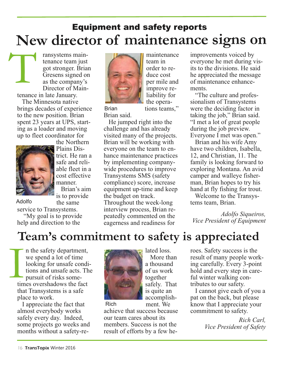### **New director of maintenance signs on** Equipment and safety reports

ransystems maintenance team just got stronger. Brian Gresens signed on as the company's Director of Maintenance in late January. THE CUOT OI INZITICITATICE SIGNIS OIL

The Minnesota native brings decades of experience to the new position. Brian spent 23 years at UPS, starting as a loader and moving up to fleet coordinator for



the Northern Plains District. He ran a safe and reliable fleet in a cost effective manner. Brian's aim

is to provide

the same service to Transystems. "My goal is to provide help and direction to the Adolfo



maintenance team in order to reduce cost per mile and improve reliability for the operations teams,"

Brian said. Brian

He jumped right into the challenge and has already visited many of the projects. Brian will be working with everyone on the team to enhance maintenance practices by implementing companywide procedures to improve Transystems SMS (safety compliance) score, increase equipment up-time and keep the budget on track. Throughout the week-long interview process, Brian repeatedly commented on the eagerness and readiness for

improvements voiced by everyone he met during visits to the divisions. He said he appreciated the message of maintenance enhancements.

"The culture and professionalism of Transystems were the deciding factor in taking the job," Brian said. "I met a lot of great people during the job preview. Everyone I met was open."

Brian and his wife Amy have two children, Isabella, 12, and Christian, 11. The family is looking forward to exploring Montana. An avid camper and walleye fisherman, Brian hopes to try his hand at fly fishing for trout.

Welcome to the Transystems team, Brian.

*Adolfo Siqueiros, Vice President of Equipment*

### **Team's commitment to safety is appreciated**

lated loss. More than a thousand of us work together safely. That is quite an accomplishment. We

n the safety department, we spend a lot of time looking for unsafe conditions and unsafe acts. The pursuit of risks sometimes overshadows the fact that Transystems is a safe place to work. I tim

I appreciate the fact that almost everybody works safely every day. Indeed, some projects go weeks and months without a safety-re-



Rich

achieve that success because our team cares about its members. Success is not the result of efforts by a few heroes. Safety success is the result of many people working carefully. Every 3-point hold and every step in careful winter walking contributes to our safety.

I cannot give each of you a pat on the back, but please know that I appreciate your commitment to safety.

> *Rich Carl, Vice President of Safety*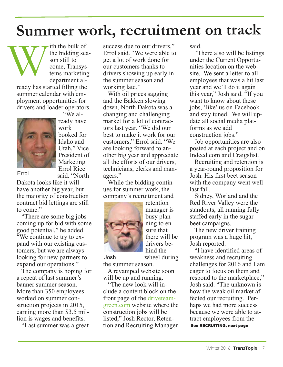### **Summer work, recruitment on track**

ith the bulk of the bidding season still to come, Transystems marketing department already has started filling the summer calendar with employment opportunities for drivers and loader operators. W



"We already have work booked for Idaho and Utah," Vice President of Marketing Errol Rice said. "North

Errol

Dakota looks like it will have another big year, but the majority of construction contract bid lettings are still to come."

"There are some big jobs coming up for bid with some good potential," he added. "We continue to try to expand with our existing customers, but we are always looking for new partners to expand our operations."

The company is hoping for a repeat of last summer's banner summer season. More than 350 employees worked on summer construction projects in 2015, earning more than \$3.5 million is wages and benefits.

"Last summer was a great

success due to our drivers," Errol said. "We were able to get a lot of work done for our customers thanks to drivers showing up early in the summer season and working late."

With oil prices sagging and the Bakken slowing down, North Dakota was a changing and challenging market for a lot of contractors last year. "We did our best to make it work for our customers," Errol said. "We are looking forward to another big year and appreciate all the efforts of our drivers, technicians, clerks and managers."

While the bidding continues for summer work, the company's recruitment and



retention manager is busy planning to ensure that there will be drivers behind the wheel during

#### the summer season. Josh

A revamped website soon will be up and running.

"The new look will include a content block on the front page of the driveteamgreen.com website where the construction jobs will be listed," Josh Rector, Retention and Recruiting Manager

said.

"There also will be listings under the Current Opportunities location on the website. We sent a letter to all employees that was a hit last year and we'll do it again this year," Josh said. "If you want to know about these jobs, 'like' us on Facebook and stay tuned. We will update all social media platforms as we add construction jobs."

Job opportunities are also posted at each project and on Indeed.com and Craigslist.

Recruiting and retention is a year-round proposition for Josh. His first beet season with the company went well last fall.

Sidney, Worland and the Red River Valley were the standouts, all running fully staffed early in the sugar beet campaigns.

The new driver training program was a huge hit, Josh reported.

"I have identified areas of weakness and recruiting challenges for 2016 and I am eager to focus on them and respond to the marketplace," Josh said. "The unknown is how the weak oil market affected our recruiting. Perhaps we had more success because we were able to attract employees from the See RECRUITING, next page

Winter 2016 **TransTopix** 17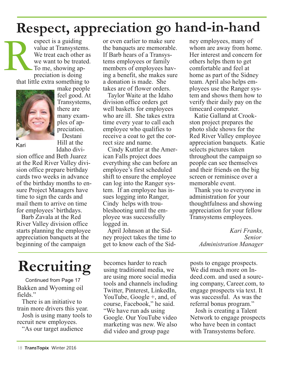### **Respect, appreciation go hand-in-hand**

espect is a guiding value at Transystems. We treat each other as we want to be treated. To me, showing appreciation is doing that little extra something to R



make people feel good. At Transystems, there are many examples of appreciation. Destani Hill at the

Kari

Idaho division office and Beth Juarez at the Red River Valley division office prepare birthday cards two weeks in advance of the birthday months to ensure Project Managers have time to sign the cards and mail them to arrive on time for employees' birthdays.

Barb Zavala at the Red River Valley division office starts planning the employee appreciation banquets at the beginning of the campaign

or even earlier to make sure the banquets are memorable. If Barb hears of a Transystems employees or family members of employees having a benefit, she makes sure a donation is made. She takes are of flower orders.

Taylor Waite at the Idaho division office orders get well baskets for employees who are ill. She takes extra time every year to call each employee who qualifies to receive a coat to get the correct size and name.

Cindy Kuttler at the American Falls project does everything she can before an employee's first scheduled shift to ensure the employee can log into the Ranger system. If an employee has issues logging into Ranger, Cindy helps with troubleshooting until the employee was successfully logged in.

April Johnson at the Sidney project takes the time to get to know each of the Sidney employees, many of whom are away from home. Her interest and concern for others helps them to get comfortable and feel at home as part of the Sidney team. April also helps employees use the Ranger system and shows them how to verify their daily pay on the timecard computer.

Katie Galland at Crookston project prepares the photo slide shows for the Red River Valley employee appreciation banquets. Katie selects pictures taken throughout the campaign so people can see themselves and their friends on the big screen or reminisce over a memorable event.

Thank you to everyone in administration for your thoughtfulness and showing appreciation for your fellow Transystems employees.

> *Kari Franks, Senior Administration Manager*

# **Recruiting**

Continued from Page 17 Bakken and Wyoming oil fields."

There is an initiative to train more drivers this year.

Josh is using many tools to recruit new employees.

"As our target audience

becomes harder to reach using traditional media, we are using more social media tools and channels including Twitter, Pinterest, LinkedIn, YouTube, Google +, and, of course, Facebook," he said. "We have run ads using Google. Our YouTube video marketing was new. We also did video and group page

posts to engage prospects. We did much more on Indeed.com. and used a sourcing company, Career.com, to engage prospects via text. It was successful. As was the referral bonus program."

Josh is creating a Talent Network to engage prospects who have been in contact with Transystems before.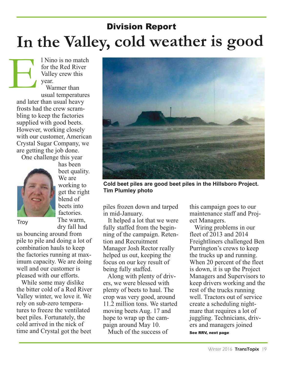### **In the Valley, cold weather is good** Division Report

Valley crew this year. Warmer than usual temperatures and later than usual heavy frosts had the crew scrambling to keep the factories supplied with good beets. However, working closely with our customer, American Crystal Sugar Company, we are getting the job done. E

l Nino is no match for the Red River

One challenge this year



has been beet quality. We are working to get the right blend of beets into factories. The warm, dry fall had

**Troy** 

us bouncing around from pile to pile and doing a lot of combination hauls to keep the factories running at maximum capacity. We are doing well and our customer is pleased with our efforts.

While some may dislike the bitter cold of a Red River Valley winter, we love it. We rely on sub-zero temperatures to freeze the ventilated beet piles. Fortunately, the cold arrived in the nick of time and Crystal got the beet



**Cold beet piles are good beet piles in the Hillsboro Project. Tim Plumley photo**

piles frozen down and tarped in mid-January.

It helped a lot that we were fully staffed from the beginning of the campaign. Retention and Recruitment Manager Josh Rector really helped us out, keeping the focus on our key result of being fully staffed.

Along with plenty of drivers, we were blessed with plenty of beets to haul. The crop was very good, around 11.2 million tons. We started moving beets Aug. 17 and hope to wrap up the campaign around May 10.

Much of the success of

this campaign goes to our maintenance staff and Project Managers.

Wiring problems in our fleet of 2013 and 2014 Freightliners challenged Ben Purrington's crews to keep the trucks up and running. When 20 percent of the fleet is down, it is up the Project Managers and Supervisors to keep drivers working and the rest of the trucks running well. Tractors out of service create a scheduling nightmare that requires a lot of juggling. Technicians, drivers and managers joined

See RRV, next page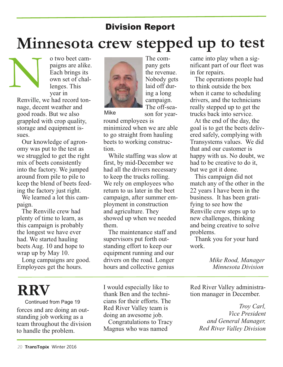### Division Report

### **Minnesota crew stepped up to test**

o two beet campaigns are alike. Each brings its own set of challenges. This year in

Renville, we had record tonnage, decent weather and good roads. But we also grappled with crop quality, storage and equipment issues. N

Our knowledge of agronomy was put to the test as we struggled to get the right mix of beets consistently into the factory. We jumped around from pile to pile to keep the blend of beets feeding the factory just right.

We learned a lot this campaign.

The Renville crew had plenty of time to learn, as this campaign is probably the longest we have ever had. We started hauling beets Aug. 10 and hope to wrap up by May 10.

Long campaigns are good. Employees get the hours.



The company gets the revenue. Nobody gets laid off during a long campaign. The off-season for year-

Mike

round employees is minimized when we are able to go straight from hauling beets to working construction.

While staffing was slow at first, by mid-December we had all the drivers necessary to keep the trucks rolling. We rely on employees who return to us later in the beet campaign, after summer employment in construction and agriculture. They showed up when we needed them.

The maintenance staff and supervisors put forth outstanding effort to keep our equipment running and our drivers on the road. Longer hours and collective genius

came into play when a significant part of our fleet was in for repairs.

The operations people had to think outside the box when it came to scheduling drivers, and the technicians really stepped up to get the trucks back into service.

At the end of the day, the goal is to get the beets delivered safely, complying with Transystems values. We did that and our customer is happy with us. No doubt, we had to be creative to do it, but we got it done.

This campaign did not match any of the other in the 22 years I have been in the business. It has been gratifying to see how the Renville crew steps up to new challenges, thinking and being creative to solve problems.

Thank you for your hard work.

> *Mike Rood, Manager Minnesota Division*

**RRV**

Continued from Page 19 forces and are doing an outstanding job working as a team throughout the division to handle the problem.

I would especially like to thank Ben and the technicians for their efforts. The Red River Valley team is doing an awesome job.

Congratulations to Tracy Magnus who was named

Red River Valley administration manager in December.

> *Troy Carl, Vice President and General Manager, Red River Valley Division*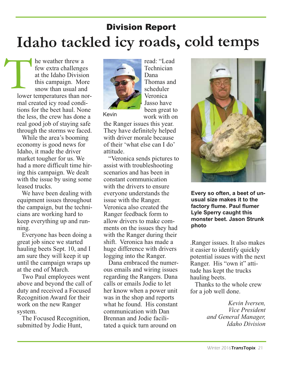### Division Report **Idaho tackled icy roads, cold temps**

he weather threw a few extra challenges at the Idaho Division this campaign. More snow than usual and lower temperatures than normal created icy road conditions for the beet haul. None the less, the crew has done a real good job of staying safe through the storms we faced. The Manuel Space of the Manuel Space of the Manuel Space of the Manuel Space of the Manuel Space of the Manuel Space of the Manuel Space of the Manuel Space of the Manuel Space of the Manuel Space of the Manuel Space of th

> While the area's booming economy is good news for Idaho, it made the driver market tougher for us. We had a more difficult time hiring this campaign. We dealt with the issue by using some leased trucks.

> We have been dealing with equipment issues throughout the campaign, but the technicians are working hard to keep everything up and running.

> Everyone has been doing a great job since we started hauling beets Sept. 10, and I am sure they will keep it up until the campaign wraps up at the end of March.

> Two Paul employees went above and beyond the call of duty and received a Focused Recognition Award for their work on the new Ranger system.

The Focused Recognition, submitted by Jodie Hunt,



Kevin

Dana Thomas and scheduler Veronica Jasso have been great to work with on

read: "Lead Technician

the Ranger issues this year. They have definitely helped with driver morale because of their 'what else can I do' attitude.

"Veronica sends pictures to assist with troubleshooting scenarios and has been in constant communication with the drivers to ensure everyone understands the issue with the Ranger. Veronica also created the Ranger feedback form to allow drivers to make comments on the issues they had with the Ranger during their shift. Veronica has made a huge difference with drivers logging into the Ranger.

Dana embraced the numerous emails and wiring issues regarding the Rangers. Dana calls or emails Jodie to let her know when a power unit was in the shop and reports what he found. His constant communication with Dan Brennan and Jodie facilitated a quick turn around on



**Every so often, a beet of unusual size makes it to the factory flume. Paul flumer Lyle Sperry caught this monster beet. Jason Strunk photo**

.Ranger issues. It also makes it easier to identify quickly potential issues with the next Ranger. His "own it" attitude has kept the trucks hauling beets.

Thanks to the whole crew for a job well done.

> *Kevin Iversen, Vice President and General Manager, Idaho Division*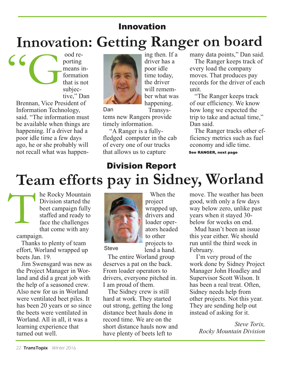# ing then. If a **Innovation: Getting Ranger on board** "G Innovation

driver has a poor idle time today, the driver will remember what was happening.

ood reporting means information that is not subjective," Dan

Brennan, Vice President of Information Technology, said. "The information must be available when things are happening. If a driver had a poor idle time a few days ago, he or she probably will not recall what was happen-



Dan

Transystems new Rangers provide timely information.

"A Ranger is a fullyfledged computer in the cab of every one of our trucks that allows us to capture

many data points," Dan said.

The Ranger keeps track of every load the company moves. That produces pay records for the driver of each unit.

"The Ranger keeps track of our efficiency. We know how long we expected the trip to take and actual time," Dan said.

The Ranger tracks other efficiency metrics such as fuel economy and idle time. See RANGER, next page

### **Team efforts pay in Sidney, Worland** Division Report

he Rocky Mountain Division started the beet campaign fully staffed and ready to face the challenges that come with any T

campaign.

Thanks to plenty of team effort, Worland wrapped up beets Jan. 19.

Jim Swensgard was new as the Project Manager in Worland and did a great job with the help of a seasoned crew. Also new for us in Worland were ventilated beet piles. It has been 20 years or so since the beets were ventilated in Worland. All in all, it was a learning experience that turned out well.



project wrapped up, drivers and loader operators headed to other projects to lend a hand.

When the

**Steve** 

The entire Worland group deserves a pat on the back. From loader operators to drivers, everyone pitched in. I am proud of them.

The Sidney crew is still hard at work. They started out strong, getting the long distance beet hauls done in record time. We are on the short distance hauls now and have plenty of beets left to

move. The weather has been good, with only a few days way below zero, unlike past years when it stayed 30 below for weeks on end.

Mud hasn't been an issue this year either. We should run until the third week in February.

I'm very proud of the work done by Sidney Project Manager John Hoadley and Supervisor Scott Wilson. It has been a real treat. Often, Sidney needs help from other projects. Not this year. They are sending help out instead of asking for it.

> *Steve Torix, Rocky Mountain Division*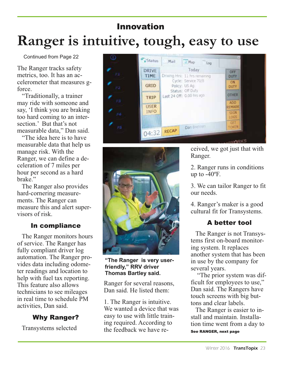### Innovation **Ranger is intuitive, tough, easy to use**

Continued from Page 22

The Ranger tracks safety metrics, too. It has an accelerometer that measures gforce.

"Traditionally, a trainer may ride with someone and say, 'I think you are braking too hard coming to an intersection.' But that's not measurable data," Dan said.

"The idea here is to have measurable data that help us manage risk. With the Ranger, we can define a deceleration of 7 miles per hour per second as a hard brake."

The Ranger also provides hard-cornering measurements. The Ranger can measure this and alert supervisors of risk.

### In compliance

The Ranger monitors hours of service. The Ranger has fully compliant driver log automation. The Ranger provides data including odometer readings and location to help with fuel tax reporting. This feature also allows technicians to see mileages in real time to schedule PM activities, Dan said.

### Why Ranger?

Transystems selected





**"The Ranger is very userfriendly," RRV driver Thomas Bartley said.**

Ranger for several reasons, Dan said. He listed them:

1. The Ranger is intuitive. We wanted a device that was easy to use with little training required. According to the feedback we have re-

ceived, we got just that with Ranger.

2. Ranger runs in conditions up to -40ºF.

3. We can tailor Ranger to fit our needs.

4. Ranger's maker is a good cultural fit for Transystems.

### A better tool

The Ranger is not Transystems first on-board monitoring system. It replaces another system that has been in use by the company for several years.

"The prior system was difficult for employees to use," Dan said. The Rangers have touch screens with big buttons and clear labels.

The Ranger is easier to install and maintain. Installation time went from a day to See RANGER, next page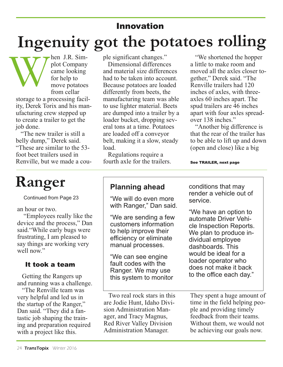### Innovation

# **Ingenuity go<sup>t</sup> the potatoes rolling** W

hen J.R. Simplot Company came looking for help to move potatoes from cellar

storage to a processing facility, Derek Torix and his manufacturing crew stepped up to create a trailer to get the job done.

"The new trailer is still a belly dump," Derek said. "These are similar to the 53 foot beet trailers used in Renville, but we made a cou-

# **Ranger**

Continued from Page 23

an hour or two.

"Employees really like the device and the process," Dan said."While early bugs were frustrating, I am pleased to say things are working very well now."

### It took a team

Getting the Rangers up and running was a challenge.

"The Renville team was very helpful and led us in the startup of the Ranger," Dan said. "They did a fantastic job shaping the training and preparation required with a project like this.

ple significant changes."

Dimensional differences and material size differences had to be taken into account. Because potatoes are loaded differently from beets, the manufacturing team was able to use lighter material. Beets are dumped into a trailer by a loader bucket, dropping several tons at a time. Potatoes are loaded off a conveyor belt, making it a slow, steady load.

Regulations require a fourth axle for the trailers.

"We shortened the hopper a little to make room and moved all the axles closer together," Derek said. "The Renville trailers had 120 inches of axles, with threeaxles 60 inches apart. The spud trailers are 46 inches apart with four axles spreadover 138 inches."

"Another big difference is that the rear of the trailer has to be able to lift up and down (open and close) like a big

See TRAILER, next page

### **Planning ahead**

"We will do even more with Ranger," Dan said.

"We are sending a few customers information to help improve their efficiency or eliminate manual processes.

"We can see engine fault codes with the Ranger. We may use this system to monitor

Two real rock stars in this are Jodie Hunt, Idaho Division Administration Manager, and Tracy Magnus, Red River Valley Division Administration Manager.

conditions that may render a vehicle out of service.

"We have an option to automate Driver Vehicle Inspection Reports. We plan to produce individual employee dashboards. This would be ideal for a loader operator who does not make it back to the office each day."

They spent a huge amount of time in the field helping people and providing timely feedback from their teams. Without them, we would not be achieving our goals now.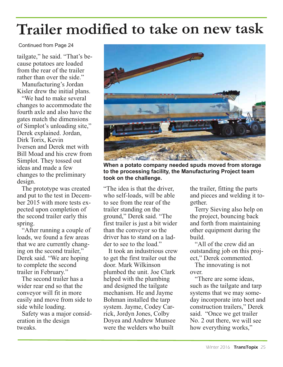# **Trailer modified to take on new task**

Continued from Page 24

tailgate," he said. "That's because potatoes are loaded from the rear of the trailer rather than over the side."

Manufacturing's Jordan Kisler drew the initial plans.

"We had to make several changes to accommodate the fourth axle and also have the gates match the dimensions of Simplot's unloading site," Derek explained. Jordan, Dirk Torix, Kevin Iversen and Derek met with Bill Moad and his crew from Simplot. They tossed out ideas and made a few changes to the preliminary design.

The prototype was created and put to the test in December 2015 with more tests expected upon completion of the second trailer early this spring.

"After running a couple of loads, we found a few areas that we are currently changing on the second trailer," Derek said. "We are hoping to complete the second trailer in February."

The second trailer has a wider rear end so that the conveyor will fit in more easily and move from side to side while loading.

Safety was a major consideration in the design tweaks.



**When a potato company needed spuds moved from storage to the processing facility, the Manufacturing Project team took on the challenge.**

"The idea is that the driver, who self-loads, will be able to see from the rear of the trailer standing on the ground," Derek said. "The first trailer is just a bit wider than the conveyor so the driver has to stand on a ladder to see to the load."

It took an industrious crew to get the first trailer out the door. Mark Wilkinson plumbed the unit. Joe Clark helped with the plumbing and designed the tailgate mechanism. He and Jayme Bohman installed the tarp system. Jayme, Codey Carrick, Jordyn Jones, Colby Doyea and Andrew Munsee were the welders who built

the trailer, fitting the parts and pieces and welding it together.

Terry Sieving also help on the project, bouncing back and forth from maintaining other equipment during the build.

"All of the crew did an outstanding job on this project," Derek commented.

The innovating is not over.

"There are some ideas, such as the tailgate and tarp systems that we may someday incorporate into beet and construction trailers," Derek said. "Once we get trailer No. 2 out there, we will see how everything works,"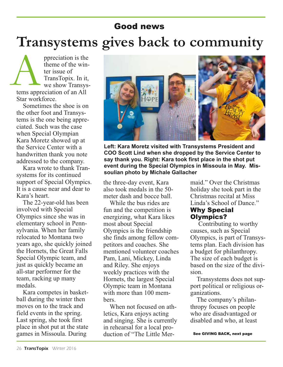### Good news

# **Transystems gives back to community**

ppreciation is the theme of the winter issue of TransTopix. In it, we show Transystems appreciation of an All Star workforce. A

Sometimes the shoe is on the other foot and Transystems is the one being appreciated. Such was the case when Special Olympian Kara Moretz showed up at the Service Center with a handwritten thank you note addressed to the company.

Kara wrote to thank Transystems for its continued support of Special Olympics. It is a cause near and dear to Kara's heart.

The 22-year-old has been involved with Special Olympics since she was in elementary school in Pennsylvania. When her family relocated to Montana two years ago, she quickly joined the Hornets, the Great Falls Special Olympic team, and just as quickly became an all-star performer for the team, racking up many medals.

Kara competes in basketball during the winter then moves on to the track and field events in the spring. Last spring, she took first place in shot put at the state games in Missoula. During



**Left: Kara Moretz visited with Transystems President and COO Scott Lind when she dropped by the Service Center to say thank you. Right: Kara took first place in the shot put event during the Special Olympics in Missoula in May. Missoulian photo by Michale Gallacher**

the three-day event, Kara also took medals in the 50 meter dash and bocce ball.

While the bus rides are fun and the competition is energizing, what Kara likes most about Special Olympics is the friendship she finds among fellow competitors and coaches. She mentioned volunteer coaches Pam, Lani, Mickey, Linda and Riley. She enjoys weekly practices with the Hornets, the largest Special Olympic team in Montana with more than 100 members.

When not focused on athletics, Kara enjoys acting and singing. She is currently in rehearsal for a local production of "The Little Mermaid." Over the Christmas holiday she took part in the Christmas recital at Miss Linda's School of Dance." Why Special Olympics?

Contributing to worthy causes, such as Special Olympics, is part of Transystems plan. Each division has a budget for philanthropy. The size of each budget is based on the size of the division.

Transystems does not support political or religious organizations.

The company's philanthropy focuses on people who are disadvantaged or disabled and who, at least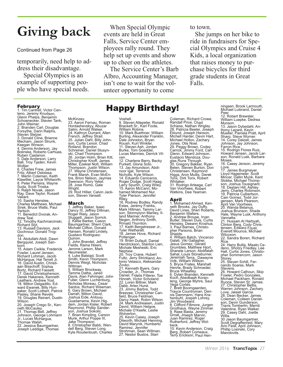### **Giving back**

Continued from Page 26

temporarily, need help to address their disadvantage.

Special Olympics is an example of supporting people who have special needs.

When Special Olympic events are held in Great Falls, Service Center employees rally round. They help set up events and show up to cheer on the athletes.

The Service Center's Barb Albro, Accounting Manager, isn't one to wait for the volunteer opportunity to come

to town.

She jumps on her bike to ride in fundraisers for Special Olympics and Cruise 4 Kids, a local organization that raises money to purchase bicycles for third grade students in Great Falls.

3. Donald Cline, Brianne . e.e.y....e., Bann<br>Steven Stelzer. 2. Branden Carl, Dougla<br>Forsythe, Darin Ralphs, John Weimer. Schoenecker. Steven Tank clenn Phelps, Benjamin teno, Jeremy Knudson **February**<br>1. Tim Cantrell, Victor Ceni i i i i i i , s Mecham, Jason Strunk, Keegan Winson. 4. Dennis Anderson, Jay Bolinske, Roberto Carhuas, Ruben Castanon. 5. Dale Anderson, Larry Ball, Troy Tjaden, Kevin Woltjer. 6. Charles Frew, James Fritz, Albert Ostolasa. 7. Merlin Coleman, Keith<br>Klawitter, Layce Whitworth. 8. Peter Perreira, Wayne<br>Suda, Scott Troska.<br>9. Ralph Novak, Jason 9. Ralph Novak, Jason<br>Ray, Dave Taylor, Russell<br>Valiant. 10. Sasha Henslee, Charles Matthews, Michael Sirek, Bruce Watts, Paul Yerbich. 11. Benedict Dvorak, An drew Teal.<br>12. Timothy Kachmarzinski, 12. Timothy Kachmarzinski,<br>Richard Slyt.<br>13. Russell Davison, Jack Gochnour, Donald Trog don.<br>14. Abdullahi Abdi. Dawn

Bergquist, Joseph Sanborn. 15. Adam Cwikla, Frederick Richard Lohman, Jacob McHargue, Hal Terrell Jr. 16. David Austin, Christi aan Bisschoff, Sophia 17. David Christopherson,<br>Derek Hakeneis, Kenneth<br>Leathers, Andrew Yost. Leathers, Andrew Yost.<br>18. Milton Delgadillo, Ed-<br>ward Ewanek, Billy Hunsaker, Scott Lothert, Patrick Pasley, Shane Revels. 19. Douglas Reinert, Dustin<br>Wilson. 20. Joseph Crego Sr., Ken-<br>neth McCauley. 21. Thomas Bell, Jeffrey<br>Johnson, George Lohmann Jr., Lucas McHargue,<br>Thomas Walsh.

22. Jessica Baumgartner, Joseph Leddige, Thomas

McKinzey.<br>23. Aaron Fernau, Roman 23. Aaron Fernau, Roman Hordashevskyy, Abuzar Salim, Arnold Walser. 24. Kathryn Durrant, Allen<br>French, Jeffrey Strait.<br>25. Julian Dahl, Billy John-<br>son, Curtis Lenoir, Chad Rolland, Brandon<br>Schreiner, Daniel Stusyn-<br>ski, Chad Thompson. 26. Jordan Holm, Brian Kitt, Christopher Knoff, James Miller, Ezekiel Nott, William Thompson, Justin Wilson. 27. Wayne Christensen, Frank Marsh, Evan McEn-<br>tire, Brion Nelson, Jaymes Swenson, Rory Yekel.<br>28. Jose Romo, Gale 28. Jose Romo, Gale<br>Wright.<br>29. Rod Hillier, Calvin Jackson, Steven Vansell.

#### March

1. Jeffrey Baker, Isaac<br>Dancy III, Jeffrey Dillman,<br>Roger Riely, Jason<br>Sluggett, Jason Sorrick.<br>2. Kellie Barker, Cason Baumgartner, Sherri Clark, Michael Clifton, Donald Gustavo Rodriguez-<br>Quinon. 3. John Brandel, Jeffrey Fields, Rama Hiseni, Jerome Larson, Mark Neumeister. 4. Luke Balstad, Scott<br>Smith, Kevin Thompson, Dennis Weigt, Nicholas<br>Wittman. 5. William Brockway, Tamme Dathe, Jared Fuller, Glenn Luchenburg,<br>Nicholas Moreau, Cesar<br>Santos, Richard Wiseman. Darrah, Milton David,<br>Joshua Eide, Antonio Guadarrama, Kevin Hig dem, Jordan Kisler, Robert Raymond, Phillip Sander son, Joshua Sokolic.<br>7. Brian Kimpling, Carson 7. Brian Kimpling, Carson Munk, Arthur Poppe III, Jake Thompson. 8. Christopher Babb, Wen- Kyle Roudenbush, Charles

### Happy Birthday!

Voshell. 9. Steven Altepeter, Ronald Brackett Sr., Karl Foote, William Robins.

10. Mark Buethner, William<br>Burling, Alexander Franklin,<br>Dale Johnston, Bryan<br>Roush, Kurt Winkler.<br>11. Steven Ash, Jordan Burke, Tom Goeddel,<br>Lucas Mannies, Derrick Vilven.<br>12. Charlene Berry, Becky Purkett, Gloria Soto.<br>13. Jay Amundson, Abdinoor Igal, Terrence Nicholls, Kyle Wilson. 14. Eduardo Ceniceros, Roger Dodge, Scott Haag,<br>Larry Spurlin, Craig Wiley.<br>15. Aaron McCann, Mo-<br>hamed Mohamed Nur.

hamed Mohamed Nur,<br>Tyler Pierson, Jennifer<br>Riley.<br>16. Rodney Bodley, Randy<br>Estes, Jeremy Franks,<br>Mark Hillman, Tammy Larson, Stormylynn Manley, Il land Mariner, Anthony Negen, Anthony Smith, Ronald Thornton. 17. Keith Bergstresser Jr., Tyler Wetherelt. 18. James Hove, Richard Pottenger. 19. Brian Dufault, Daniel Hendrickson, Stanton Lien,<br>Michale Mesheski, Eric<br>Nephew. 20. Troy Crane, Hubert Fultz, Jerry Strickland, An tonio Velasco, Aleksandar<br>Zovko. 21. Kenneth Byers, Gary<br>Crowder, Jr., Thomas<br>Daniel, Fidelis Fitterer, Toe<br>Hinneh, Victor Scholand.<br>22. Loren Bittner, Mark Dabb, Arlen Hurst. 23. Jimmy Barbre, Todd Breezee, Christopher Can- Brucese, Unificipitor Carr<br>field, Bruce Feldman,<br>Darcy Hawk, Robin Wilson. 24. Mark Andreasen, Justin<br>David, William Helgoe,<br>Michale O'Keefe, Leslie Michale O'Keefe, Leslie<br>Wolverton. 25. Kevin Casey, Joseph

David Marynik, Humberto<br>Ramirez, Jennifer<br>Strohman, Sean Willman.<br>27. Nestor Bustos, Starr

Coleman, Richard Crowe, Randall Price, Chad 28. Patricia Beeler, Joseph Eklund, Joseph Hanson, Michell Harder, Devin Hart, Michael Hollon, Zachary Jones, Otis Noel. 29. Peggy Brown, Codey<br>Carrick, Jimmy Ford, Carl<br>Glenn, Edward Johnson, Glenn, Edward Johnson, Eustacio Mendoza, Dou glas Runs Through.<br>30. Gregory Bakker, Ryan<br>Belen, Steven Burton, Don<br>Christensen, Raymond Higgs, Aron Mullis, Derek Torix, Dirk Torix, Robert Whitaker. 31. Rodrigo Arteaga, Carl Van Voorhees, Robert Watkins, Dee Yeaman.

April 1. Mohamed Ahmed, Ken neth Brooks, Jay Duffy,<br>Benjamin Walters. Sheri Roberts,<br>Benjamin Walters.<br>2. Andrew Brouse, Irvan<br>Butler, Steven Duis, Curtis<br>Hensley, Deeann Kroshus.<br>3. Paul Barnes, Christopher Parsons, Brian<br>Shields. 4. William Batch, Vincenzo Galati, Viki Gallagher,<br>Jesus Gomez, Gerald Grumbles, Matthew Hjort,<br>Shanele Larson, Abdifatah Sahal, Louis Stoneburner,<br>Jeremiah Terra, Dawayne<br>Volk, William Willson.<br>5. Bryce Frates, Marshall Henrie, Brady Schroeder,<br>Bruce Wheatley.<br>6. Dylan Branden, Kenneth<br>Koch, Abedbaah Koranteng, George Myhre, Saul<br>Vega Cortes.<br>7. Brett Boomgaarden, Vega Countryman, Den-<br>Trayce Countryman, Den-<br>nis Dammann, Hans Krahenbuhl, Jospeh Lohrey,<br>Jim Woodward. 8. Clifford Fillmore, Jurgen<br>Grodhaus, Wayne Zimmer.<br>9. Rase Basta, Jeremy<br>Groat, Joseph Marvin,<br>Juan Ramirez, Roger<br>Rutherford, Jeffrey Wol-<br>Rutherford, Jeffrey Wol-10. Kevin Anderson, Craig Berg, Robert Comeaux, Terry Erickson, Paul Hen-

Cial needs.<br>
unteer opportunity to come<br> **Happy Birthday!**<br>
McKinzey.<br>
McKinzey.<br>
23. Aaron Fernau, Roman 9. Steven Altepeter, Ronald Richard Crowe, <sup>12, Robert Brewster,</sup><br>
23. Aaron Fernau, Roman 9. Steven Altepeter, Rona ningsen, Brook Larmouth, Michael Luibrand, Daniel Peer.<br>12. Robert Brewster, William Luepke, Dedrea<br>Munson. 13. Jason Dybedahl, An-<br>thony Lazare, Kevin<br>Mueller, Pamela Pratt, April<br>Sharp, Steve Worner. 14. Corey Dalzell, James<br>Johnson, Jay Johnson,<br>Farron Rice. 15. Rodrigo Flores Ruiz,<br>Howard Jensen, Jacob Larson, Ronald Lusk, Barbara<br>Moses. Moses.<br>16. Casey Jenson, Jeremy<br>Love.<br>17. James Burgmeyer, 17. James Burgmeyer,<br>Lloyd Hagemeier, Scott<br>Mincer, Dallin Munk, Kent<br>Stokke, Michael Thompson, Joshua Tousignant.<br>18. Destani Hill, Ashley<br>Jerry, Charles Robinson.<br>19. Patricia Culbertson, Cain Gomez, Todd Jor-<br>gensen, Mark Pearson,<br>April Van Voorhees. 20. Wanda Belanus,<br>Joshua Brunson, Shade<br>Hale, Wayne Lusk, Anthony<br>Vannatta. 21. Hussain Al Harbyah, Clinton Berg, Cody Chris tensen, Edward Foust, Everett Mounce, Michael Wilcoxon. 22. Sandra Boren, Richard Rice.<br>24. Harry Bullis, Misato Ce-<br>deno, Shotzy Friedley, Lee<br>Hall, Curtis Jones, Christopher Sommercorn, Jason<br>Storey.<br>25. Steven Schill, Fernando Soares, Mark Stevens.<br>26. Howard Calhoun. Skip 26. Howard Calhoun, Skip Fowler, Pedro Gonzales, Michael Packham, Ronald<br>Ruona, Steven St. James.<br>27. Christopher Bettis,<br>Warren Johnson, Zachary<br>Love, Jaisiel Garcia. 28. Dean Becker, James<br>Coleman, Colleen Daniel-<br>son, Devin Gunderson,<br>Travis Tomberlin, Merrill<br>Valentine, Ryan Walker.<br>29. Casey Dahl, Joette<br>Willis. 30 Jason Baumgartner,<br>Scott Degraffenreid, Mary<br>Ann Feist, April Johnson,<br>Phillip Losinski, Cory<br>Manolovits.